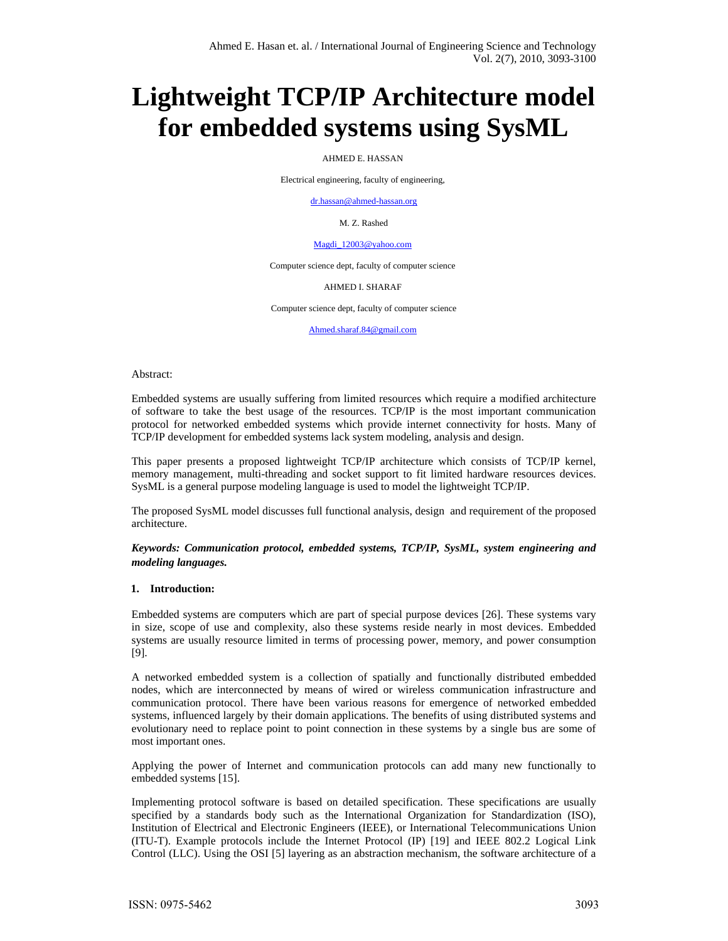# **Lightweight TCP/IP Architecture model for embedded systems using SysML**

AHMED E. HASSAN

Electrical engineering, faculty of engineering,

dr.hassan@ahmed-hassan.org

M. Z. Rashed

#### Magdi\_12003@yahoo.com

Computer science dept, faculty of computer science

#### AHMED I. SHARAF

Computer science dept, faculty of computer science

Ahmed.sharaf.84@gmail.com

Abstract:

Embedded systems are usually suffering from limited resources which require a modified architecture of software to take the best usage of the resources. TCP/IP is the most important communication protocol for networked embedded systems which provide internet connectivity for hosts. Many of TCP/IP development for embedded systems lack system modeling, analysis and design.

This paper presents a proposed lightweight TCP/IP architecture which consists of TCP/IP kernel, memory management, multi-threading and socket support to fit limited hardware resources devices. SysML is a general purpose modeling language is used to model the lightweight TCP/IP.

The proposed SysML model discusses full functional analysis, design and requirement of the proposed architecture.

# *Keywords: Communication protocol, embedded systems, TCP/IP, SysML, system engineering and modeling languages.*

#### **1. Introduction:**

Embedded systems are computers which are part of special purpose devices [26]. These systems vary in size, scope of use and complexity, also these systems reside nearly in most devices. Embedded systems are usually resource limited in terms of processing power, memory, and power consumption [9].

A networked embedded system is a collection of spatially and functionally distributed embedded nodes, which are interconnected by means of wired or wireless communication infrastructure and communication protocol. There have been various reasons for emergence of networked embedded systems, influenced largely by their domain applications. The benefits of using distributed systems and evolutionary need to replace point to point connection in these systems by a single bus are some of most important ones.

Applying the power of Internet and communication protocols can add many new functionally to embedded systems [15].

Implementing protocol software is based on detailed specification. These specifications are usually specified by a standards body such as the International Organization for Standardization (ISO), Institution of Electrical and Electronic Engineers (IEEE), or International Telecommunications Union (ITU-T). Example protocols include the Internet Protocol (IP) [19] and IEEE 802.2 Logical Link Control (LLC). Using the OSI [5] layering as an abstraction mechanism, the software architecture of a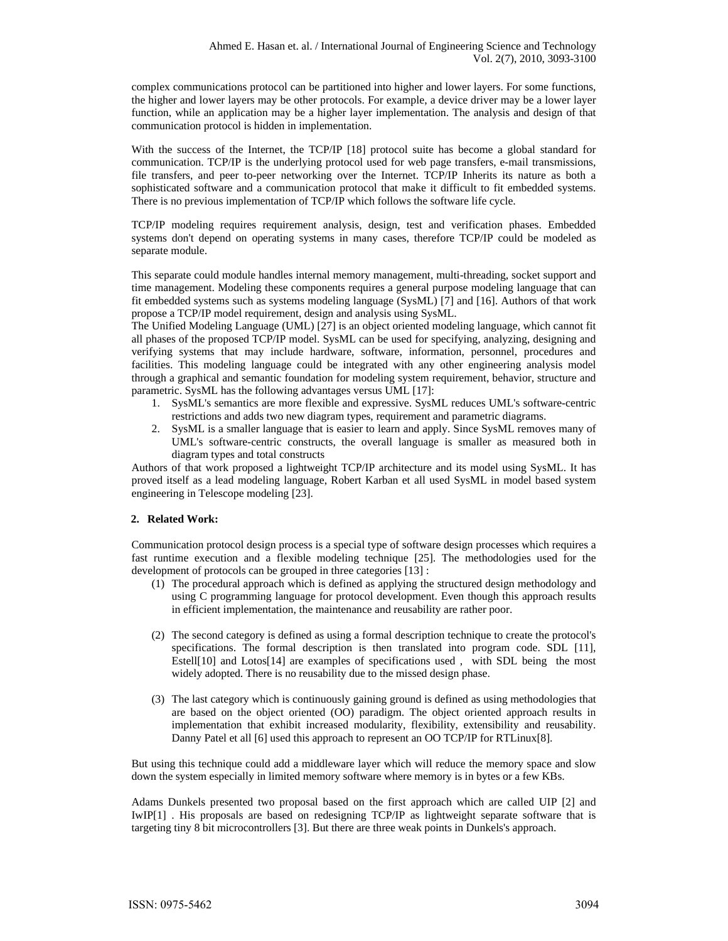complex communications protocol can be partitioned into higher and lower layers. For some functions, the higher and lower layers may be other protocols. For example, a device driver may be a lower layer function, while an application may be a higher layer implementation. The analysis and design of that communication protocol is hidden in implementation.

With the success of the Internet, the TCP/IP [18] protocol suite has become a global standard for communication. TCP/IP is the underlying protocol used for web page transfers, e-mail transmissions, file transfers, and peer to-peer networking over the Internet. TCP/IP Inherits its nature as both a sophisticated software and a communication protocol that make it difficult to fit embedded systems. There is no previous implementation of TCP/IP which follows the software life cycle.

TCP/IP modeling requires requirement analysis, design, test and verification phases. Embedded systems don't depend on operating systems in many cases, therefore TCP/IP could be modeled as separate module.

This separate could module handles internal memory management, multi-threading, socket support and time management. Modeling these components requires a general purpose modeling language that can fit embedded systems such as systems modeling language (SysML) [7] and [16]. Authors of that work propose a TCP/IP model requirement, design and analysis using SysML.

The Unified Modeling Language (UML) [27] is an object oriented modeling language, which cannot fit all phases of the proposed TCP/IP model. SysML can be used for specifying, analyzing, designing and verifying systems that may include hardware, software, information, personnel, procedures and facilities. This modeling language could be integrated with any other engineering analysis model through a graphical and semantic foundation for modeling system requirement, behavior, structure and parametric. SysML has the following advantages versus UML [17]:

- 1. SysML's semantics are more flexible and expressive. SysML reduces UML's software-centric restrictions and adds two new diagram types, requirement and parametric diagrams.
- 2. SysML is a smaller language that is easier to learn and apply. Since SysML removes many of UML's software-centric constructs, the overall language is smaller as measured both in diagram types and total constructs

Authors of that work proposed a lightweight TCP/IP architecture and its model using SysML. It has proved itself as a lead modeling language, Robert Karban et all used SysML in model based system engineering in Telescope modeling [23].

# **2. Related Work:**

Communication protocol design process is a special type of software design processes which requires a fast runtime execution and a flexible modeling technique [25]. The methodologies used for the development of protocols can be grouped in three categories [13] :

- (1) The procedural approach which is defined as applying the structured design methodology and using C programming language for protocol development. Even though this approach results in efficient implementation, the maintenance and reusability are rather poor.
- (2) The second category is defined as using a formal description technique to create the protocol's specifications. The formal description is then translated into program code. SDL [11], Estell[10] and Lotos[14] are examples of specifications used , with SDL being the most widely adopted. There is no reusability due to the missed design phase.
- (3) The last category which is continuously gaining ground is defined as using methodologies that are based on the object oriented (OO) paradigm. The object oriented approach results in implementation that exhibit increased modularity, flexibility, extensibility and reusability. Danny Patel et all [6] used this approach to represent an OO TCP/IP for RTLinux[8].

But using this technique could add a middleware layer which will reduce the memory space and slow down the system especially in limited memory software where memory is in bytes or a few KBs.

Adams Dunkels presented two proposal based on the first approach which are called UIP [2] and IwIP[1] . His proposals are based on redesigning TCP/IP as lightweight separate software that is targeting tiny 8 bit microcontrollers [3]. But there are three weak points in Dunkels's approach.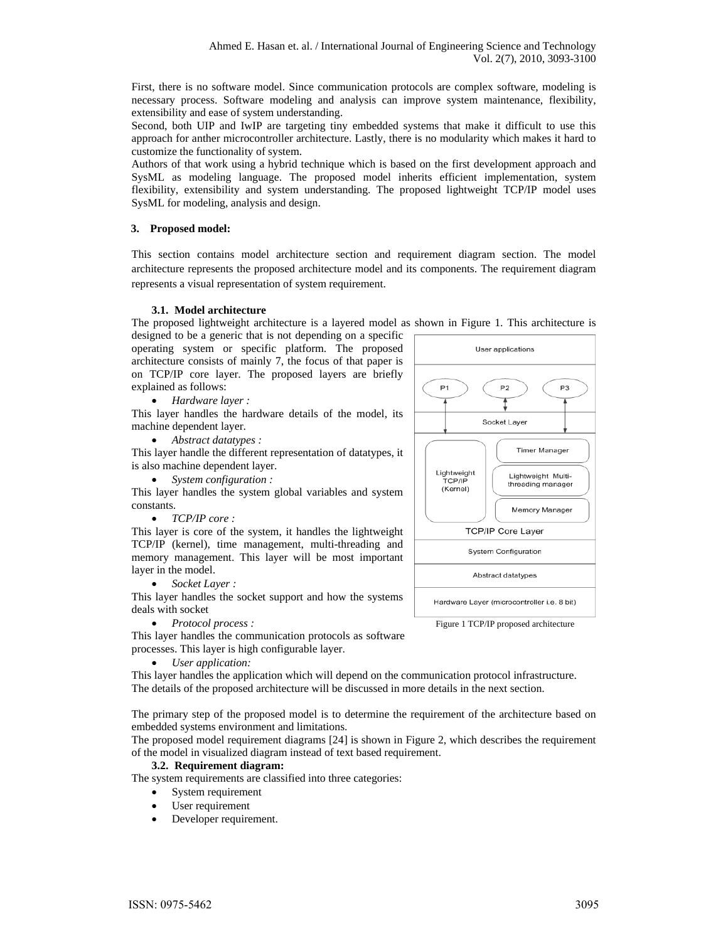First, there is no software model. Since communication protocols are complex software, modeling is necessary process. Software modeling and analysis can improve system maintenance, flexibility, extensibility and ease of system understanding.

Second, both UIP and IwIP are targeting tiny embedded systems that make it difficult to use this approach for anther microcontroller architecture. Lastly, there is no modularity which makes it hard to customize the functionality of system.

Authors of that work using a hybrid technique which is based on the first development approach and SysML as modeling language. The proposed model inherits efficient implementation, system flexibility, extensibility and system understanding. The proposed lightweight TCP/IP model uses SysML for modeling, analysis and design.

# **3. Proposed model:**

This section contains model architecture section and requirement diagram section. The model architecture represents the proposed architecture model and its components. The requirement diagram represents a visual representation of system requirement.

# **3.1. Model architecture**

The proposed lightweight architecture is a layered model as shown in Figure 1. This architecture is

designed to be a generic that is not depending on a specific operating system or specific platform. The proposed architecture consists of mainly 7, the focus of that paper is on TCP/IP core layer. The proposed layers are briefly explained as follows:

*Hardware layer :* 

This layer handles the hardware details of the model, its machine dependent layer.

*Abstract datatypes :* 

This layer handle the different representation of datatypes, it is also machine dependent layer.

*System configuration :* 

This layer handles the system global variables and system constants.

*TCP/IP core :* 

This layer is core of the system, it handles the lightweight TCP/IP (kernel), time management, multi-threading and memory management. This layer will be most important layer in the model.

*Socket Layer :* 

This layer handles the socket support and how the systems deals with socket

*Protocol process :* 

This layer handles the communication protocols as software processes. This layer is high configurable layer.

*User application:* 

This layer handles the application which will depend on the communication protocol infrastructure. The details of the proposed architecture will be discussed in more details in the next section.

The primary step of the proposed model is to determine the requirement of the architecture based on embedded systems environment and limitations.

The proposed model requirement diagrams [24] is shown in Figure 2, which describes the requirement of the model in visualized diagram instead of text based requirement.

# **3.2. Requirement diagram:**

The system requirements are classified into three categories:

- System requirement
- User requirement
- Developer requirement.

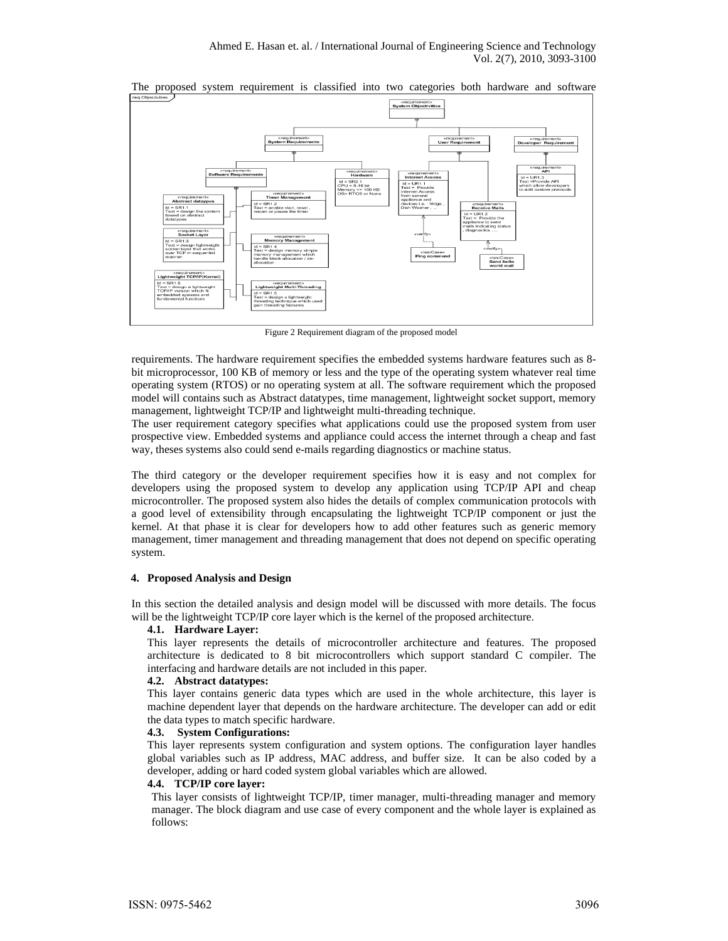

The proposed system requirement is classified into two categories both hardware and software

Figure 2 Requirement diagram of the proposed model

requirements. The hardware requirement specifies the embedded systems hardware features such as 8 bit microprocessor, 100 KB of memory or less and the type of the operating system whatever real time operating system (RTOS) or no operating system at all. The software requirement which the proposed model will contains such as Abstract datatypes, time management, lightweight socket support, memory management, lightweight TCP/IP and lightweight multi-threading technique.

The user requirement category specifies what applications could use the proposed system from user prospective view. Embedded systems and appliance could access the internet through a cheap and fast way, theses systems also could send e-mails regarding diagnostics or machine status.

The third category or the developer requirement specifies how it is easy and not complex for developers using the proposed system to develop any application using TCP/IP API and cheap microcontroller. The proposed system also hides the details of complex communication protocols with a good level of extensibility through encapsulating the lightweight TCP/IP component or just the kernel. At that phase it is clear for developers how to add other features such as generic memory management, timer management and threading management that does not depend on specific operating system.

#### **4. Proposed Analysis and Design**

In this section the detailed analysis and design model will be discussed with more details. The focus will be the lightweight TCP/IP core layer which is the kernel of the proposed architecture.

#### **4.1. Hardware Layer:**

This layer represents the details of microcontroller architecture and features. The proposed architecture is dedicated to 8 bit microcontrollers which support standard C compiler. The interfacing and hardware details are not included in this paper.

#### **4.2. Abstract datatypes:**

This layer contains generic data types which are used in the whole architecture, this layer is machine dependent layer that depends on the hardware architecture. The developer can add or edit the data types to match specific hardware.

#### **4.3. System Configurations:**

This layer represents system configuration and system options. The configuration layer handles global variables such as IP address, MAC address, and buffer size. It can be also coded by a developer, adding or hard coded system global variables which are allowed.

#### **4.4. TCP/IP core layer:**

This layer consists of lightweight TCP/IP, timer manager, multi-threading manager and memory manager. The block diagram and use case of every component and the whole layer is explained as follows: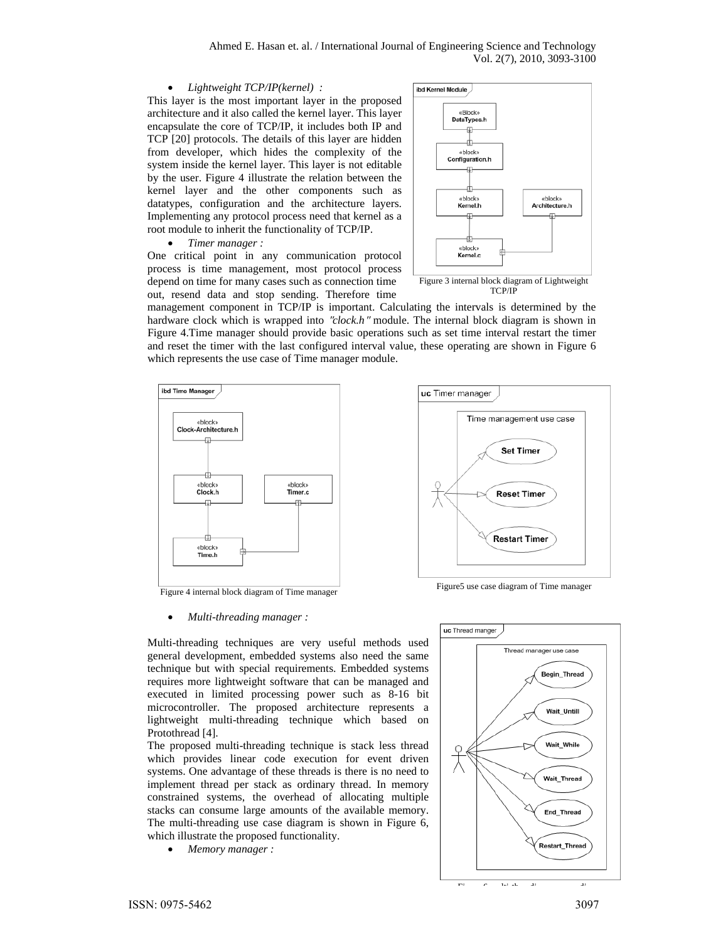*Lightweight TCP/IP(kernel) :* 

This layer is the most important layer in the proposed architecture and it also called the kernel layer. This layer encapsulate the core of TCP/IP, it includes both IP and TCP [20] protocols. The details of this layer are hidden from developer, which hides the complexity of the system inside the kernel layer. This layer is not editable by the user. Figure 4 illustrate the relation between the kernel layer and the other components such as datatypes, configuration and the architecture layers. Implementing any protocol process need that kernel as a root module to inherit the functionality of TCP/IP.

*Timer manager :* 

One critical point in any communication protocol process is time management, most protocol process depend on time for many cases such as connection time out, resend data and stop sending. Therefore time



TCP/IP

uc Timer manager

management component in TCP/IP is important. Calculating the intervals is determined by the hardware clock which is wrapped into "*clock.h*" module. The internal block diagram is shown in Figure 4.Time manager should provide basic operations such as set time interval restart the timer and reset the timer with the last configured interval value, these operating are shown in Figure 6 which represents the use case of Time manager module.



Figure 4 internal block diagram of Time manager<br>Figure 4 internal block diagram of Time manager

#### *Multi-threading manager :*

Time management use case **Set Timer Reset Timer Restart Timer** 



Multi-threading techniques are very useful methods used general development, embedded systems also need the same technique but with special requirements. Embedded systems requires more lightweight software that can be managed and executed in limited processing power such as 8-16 bit microcontroller. The proposed architecture represents a lightweight multi-threading technique which based on Protothread [4].

The proposed multi-threading technique is stack less thread which provides linear code execution for event driven systems. One advantage of these threads is there is no need to implement thread per stack as ordinary thread. In memory constrained systems, the overhead of allocating multiple stacks can consume large amounts of the available memory. The multi-threading use case diagram is shown in Figure 6, which illustrate the proposed functionality.

*Memory manager :*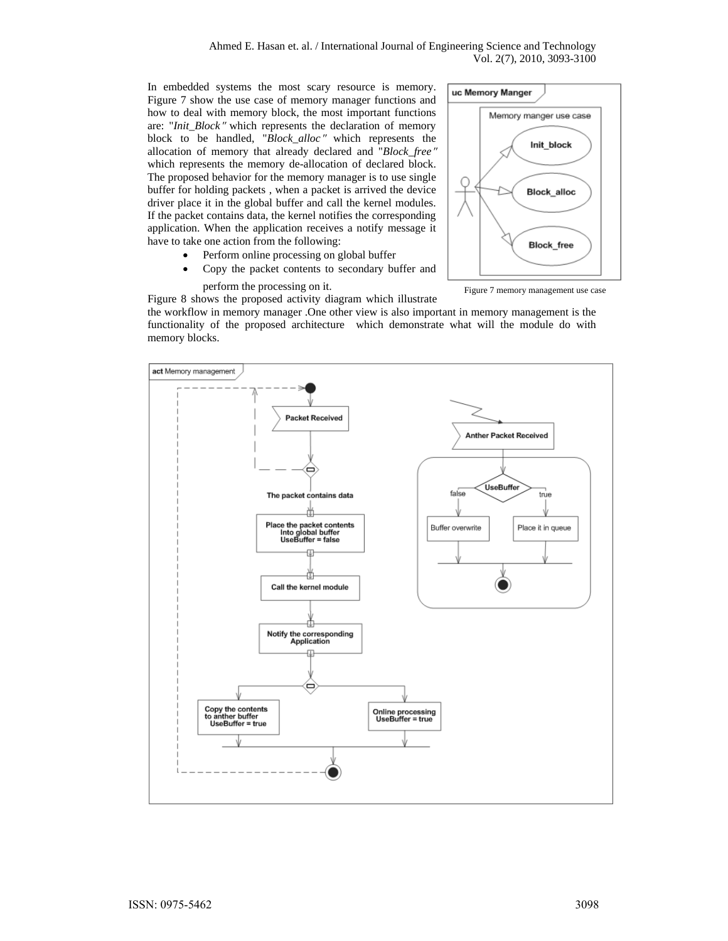Ahmed E. Hasan et. al. / International Journal of Engineering Science and Technology Vol. 2(7), 2010, 3093-3100

In embedded systems the most scary resource is memory. Figure 7 show the use case of memory manager functions and how to deal with memory block, the most important functions are: "*Init\_Block*" which represents the declaration of memory block to be handled, "*Block\_alloc*" which represents the allocation of memory that already declared and "*Block\_free*" which represents the memory de-allocation of declared block. The proposed behavior for the memory manager is to use single buffer for holding packets , when a packet is arrived the device driver place it in the global buffer and call the kernel modules. If the packet contains data, the kernel notifies the corresponding application. When the application receives a notify message it have to take one action from the following:

- Perform online processing on global buffer
- Copy the packet contents to secondary buffer and



Figure 7 memory management use case

perform the processing on it. Figure 8 shows the proposed activity diagram which illustrate

the workflow in memory manager .One other view is also important in memory management is the functionality of the proposed architecture which demonstrate what will the module do with memory blocks.

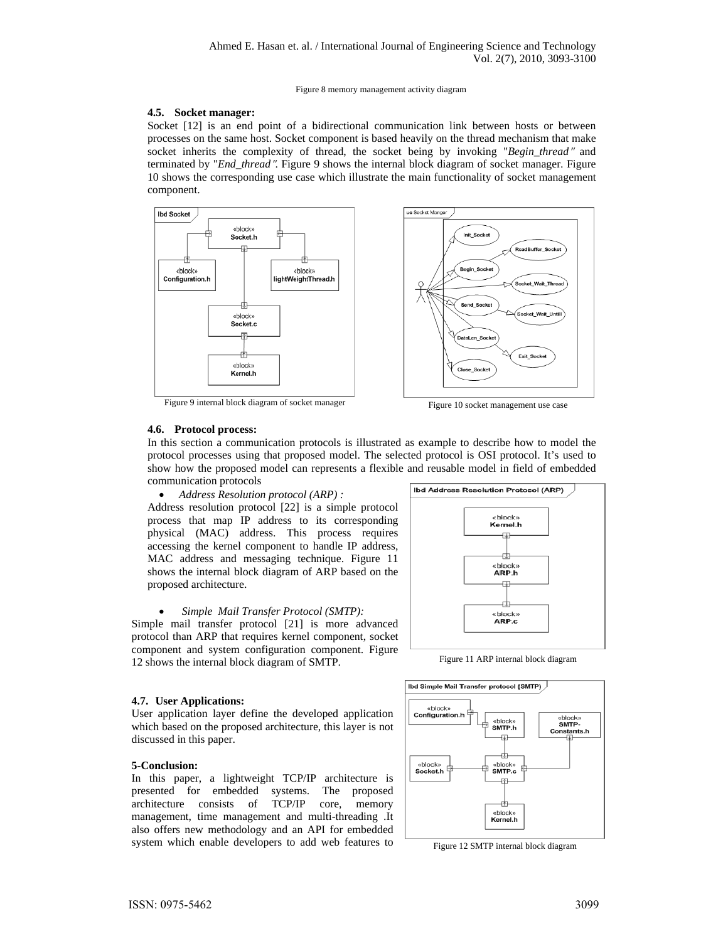#### Figure 8 memory management activity diagram

### **4.5. Socket manager:**

Socket [12] is an end point of a bidirectional communication link between hosts or between processes on the same host. Socket component is based heavily on the thread mechanism that make socket inherits the complexity of thread, the socket being by invoking "*Begin\_thread*" and terminated by "*End\_thread*". Figure 9 shows the internal block diagram of socket manager. Figure 10 shows the corresponding use case which illustrate the main functionality of socket management component.



Figure 9 internal block diagram of socket manager<br>Figure 10 socket management use case

#### **4.6. Protocol process:**

In this section a communication protocols is illustrated as example to describe how to model the protocol processes using that proposed model. The selected protocol is OSI protocol. It's used to show how the proposed model can represents a flexible and reusable model in field of embedded communication protocols

 *Address Resolution protocol (ARP) :*  Address resolution protocol [22] is a simple protocol process that map IP address to its corresponding physical (MAC) address. This process requires accessing the kernel component to handle IP address, MAC address and messaging technique. Figure 11 shows the internal block diagram of ARP based on the proposed architecture.

#### *Simple Mail Transfer Protocol (SMTP):*

Simple mail transfer protocol [21] is more advanced protocol than ARP that requires kernel component, socket component and system configuration component. Figure 12 shows the internal block diagram of SMTP.



Figure 11 ARP internal block diagram

#### **4.7. User Applications:**

User application layer define the developed application which based on the proposed architecture, this layer is not discussed in this paper.

#### **5-Conclusion:**

In this paper, a lightweight TCP/IP architecture is presented for embedded systems. The proposed<br>architecture consists of TCP/IP core, memory architecture consists of TCP/IP core, memory management, time management and multi-threading .It also offers new methodology and an API for embedded system which enable developers to add web features to



Figure 12 SMTP internal block diagram